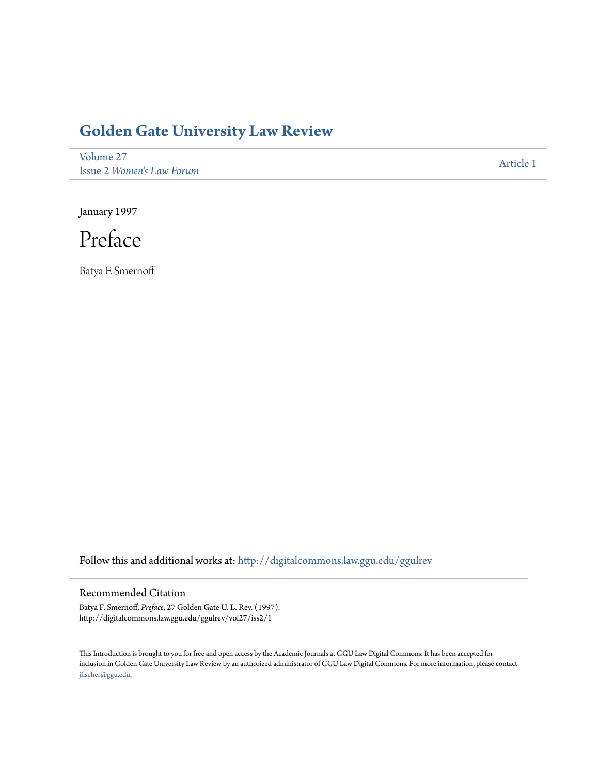## **[Golden Gate University Law Review](http://digitalcommons.law.ggu.edu/ggulrev?utm_source=digitalcommons.law.ggu.edu%2Fggulrev%2Fvol27%2Fiss2%2F1&utm_medium=PDF&utm_campaign=PDFCoverPages)**

[Volume 27](http://digitalcommons.law.ggu.edu/ggulrev/vol27?utm_source=digitalcommons.law.ggu.edu%2Fggulrev%2Fvol27%2Fiss2%2F1&utm_medium=PDF&utm_campaign=PDFCoverPages) Issue 2 *[Women's Law Forum](http://digitalcommons.law.ggu.edu/ggulrev/vol27/iss2?utm_source=digitalcommons.law.ggu.edu%2Fggulrev%2Fvol27%2Fiss2%2F1&utm_medium=PDF&utm_campaign=PDFCoverPages)*

[Article 1](http://digitalcommons.law.ggu.edu/ggulrev/vol27/iss2/1?utm_source=digitalcommons.law.ggu.edu%2Fggulrev%2Fvol27%2Fiss2%2F1&utm_medium=PDF&utm_campaign=PDFCoverPages)

January 1997



Batya F. Smernoff

Follow this and additional works at: [http://digitalcommons.law.ggu.edu/ggulrev](http://digitalcommons.law.ggu.edu/ggulrev?utm_source=digitalcommons.law.ggu.edu%2Fggulrev%2Fvol27%2Fiss2%2F1&utm_medium=PDF&utm_campaign=PDFCoverPages)

## Recommended Citation

Batya F. Smernoff, *Preface*, 27 Golden Gate U. L. Rev. (1997). http://digitalcommons.law.ggu.edu/ggulrev/vol27/iss2/1

This Introduction is brought to you for free and open access by the Academic Journals at GGU Law Digital Commons. It has been accepted for inclusion in Golden Gate University Law Review by an authorized administrator of GGU Law Digital Commons. For more information, please contact [jfischer@ggu.edu](mailto:jfischer@ggu.edu).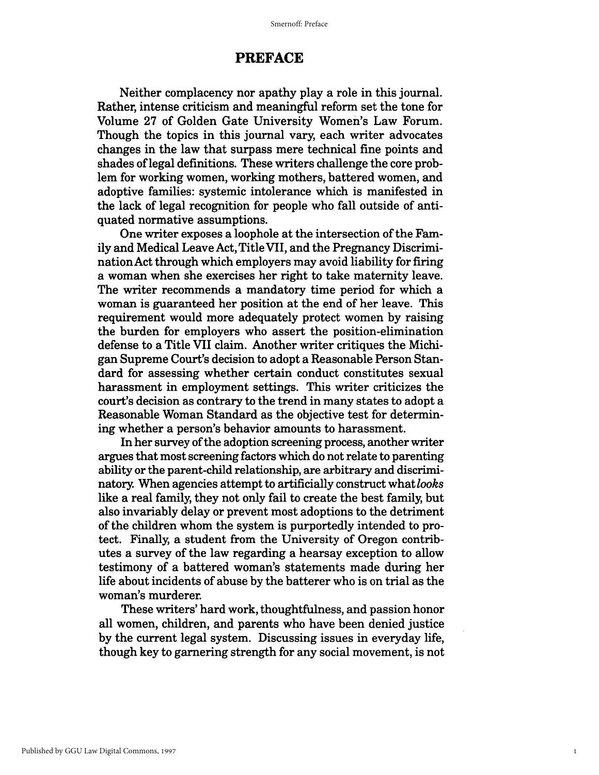## **PREFACE**

Neither complacency nor apathy playa role in this journal. Rather, intense criticism and meaningful reform set the tone for Volume 27 of Golden Gate University Women's Law Forum. Though the topics in this journal vary, each writer advocates changes in the law that surpass mere technical fine points and shades of legal definitions. These writers challenge the core problem for working women, working mothers, battered women, and adoptive families: systemic intolerance which is manifested in the lack of legal recognition for people who fall outside of antiquated normative assumptions.

One writer exposes a loophole at the intersection of the Family and Medical Leave Act, Title VII, and the Pregnancy Discrimination Act through which employers may avoid liability for firing a woman when she exercises her right to take maternity leave. The writer recommends a mandatory time period for which a woman is guaranteed her position at the end of her leave. This requirement would more adequately protect women by raising the burden for employers who assert the position-elimination defense to a Title VII claim. Another writer critiques the Michigan Supreme Court's decision to adopt a Reasonable Person Standard for assessing whether certain conduct constitutes sexual harassment in employment settings. This writer criticizes the court's decision as contrary to the trend in many states to adopt a Reasonable Woman Standard as the objective test for determining whether a person's behavior amounts to harassment.

In her survey of the adoption screening process, another writer argues that most screening factors which do not relate to parenting ability or the parent-child relationship, are arbitrary and discriminatory. When agencies attempt to artificially construct what *looks*  like a real family, they not only fail to create the best family, but also invariably delay or prevent most adoptions to the detriment of the children whom the system is purportedly intended to protect. Finally, a student from the University of Oregon contributes a survey of the law regarding a hearsay exception to allow testimony of a battered woman's statements made during her life about incidents of abuse by the batterer who is on trial as the woman's murderer.

These writers' hard work, thoughtfulness, and passion honor all women, children, and parents who have been denied justice by the current legal system. Discussing issues in everyday life, though key to garnering strength for any social movement, is not